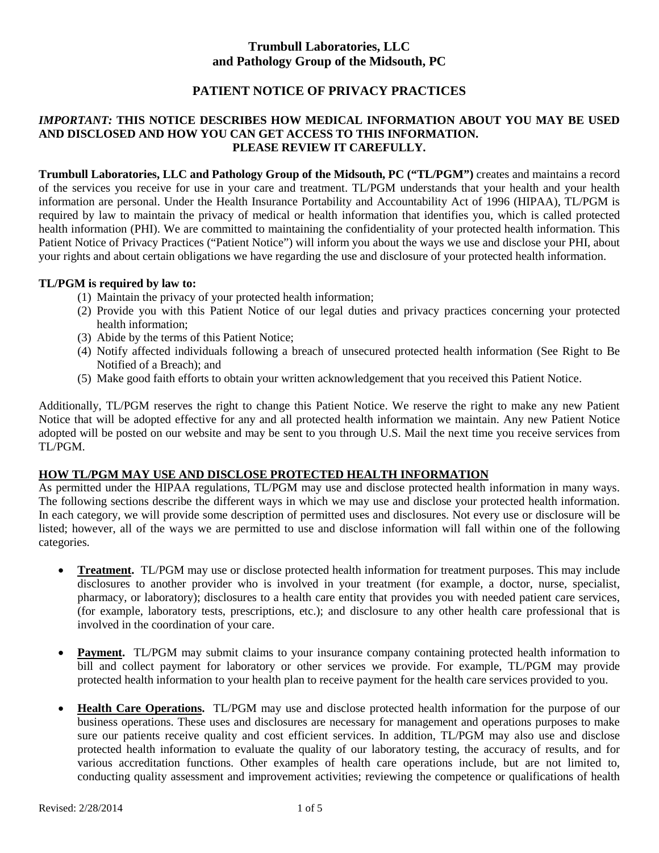# **Trumbull Laboratories, LLC and Pathology Group of the Midsouth, PC**

# **PATIENT NOTICE OF PRIVACY PRACTICES**

#### *IMPORTANT:* **THIS NOTICE DESCRIBES HOW MEDICAL INFORMATION ABOUT YOU MAY BE USED AND DISCLOSED AND HOW YOU CAN GET ACCESS TO THIS INFORMATION. PLEASE REVIEW IT CAREFULLY.**

**Trumbull Laboratories, LLC and Pathology Group of the Midsouth, PC ("TL/PGM")** creates and maintains a record of the services you receive for use in your care and treatment. TL/PGM understands that your health and your health information are personal. Under the Health Insurance Portability and Accountability Act of 1996 (HIPAA), TL/PGM is required by law to maintain the privacy of medical or health information that identifies you, which is called protected health information (PHI). We are committed to maintaining the confidentiality of your protected health information. This Patient Notice of Privacy Practices ("Patient Notice") will inform you about the ways we use and disclose your PHI, about your rights and about certain obligations we have regarding the use and disclosure of your protected health information.

#### **TL/PGM is required by law to:**

- (1) Maintain the privacy of your protected health information;
- (2) Provide you with this Patient Notice of our legal duties and privacy practices concerning your protected health information;
- (3) Abide by the terms of this Patient Notice;
- (4) Notify affected individuals following a breach of unsecured protected health information (See Right to Be Notified of a Breach); and
- (5) Make good faith efforts to obtain your written acknowledgement that you received this Patient Notice.

Additionally, TL/PGM reserves the right to change this Patient Notice. We reserve the right to make any new Patient Notice that will be adopted effective for any and all protected health information we maintain. Any new Patient Notice adopted will be posted on our website and may be sent to you through U.S. Mail the next time you receive services from TL/PGM.

# **HOW TL/PGM MAY USE AND DISCLOSE PROTECTED HEALTH INFORMATION**

As permitted under the HIPAA regulations, TL/PGM may use and disclose protected health information in many ways. The following sections describe the different ways in which we may use and disclose your protected health information. In each category, we will provide some description of permitted uses and disclosures. Not every use or disclosure will be listed; however, all of the ways we are permitted to use and disclose information will fall within one of the following categories.

- **Treatment.** TL/PGM may use or disclose protected health information for treatment purposes. This may include disclosures to another provider who is involved in your treatment (for example, a doctor, nurse, specialist, pharmacy, or laboratory); disclosures to a health care entity that provides you with needed patient care services, (for example, laboratory tests, prescriptions, etc.); and disclosure to any other health care professional that is involved in the coordination of your care.
- **Payment.** TL/PGM may submit claims to your insurance company containing protected health information to bill and collect payment for laboratory or other services we provide. For example, TL/PGM may provide protected health information to your health plan to receive payment for the health care services provided to you.
- **Health Care Operations.** TL/PGM may use and disclose protected health information for the purpose of our business operations. These uses and disclosures are necessary for management and operations purposes to make sure our patients receive quality and cost efficient services. In addition, TL/PGM may also use and disclose protected health information to evaluate the quality of our laboratory testing, the accuracy of results, and for various accreditation functions. Other examples of health care operations include, but are not limited to, conducting quality assessment and improvement activities; reviewing the competence or qualifications of health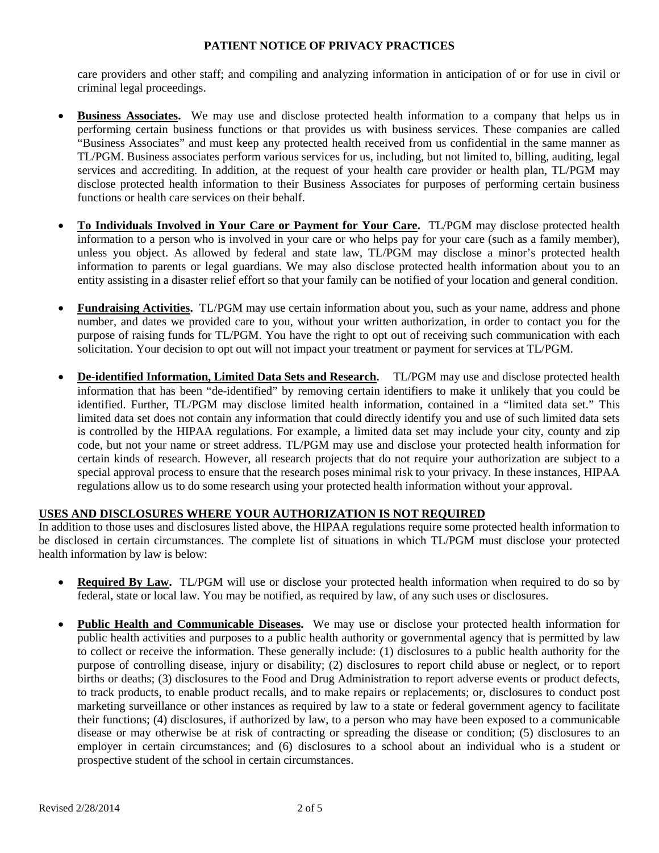care providers and other staff; and compiling and analyzing information in anticipation of or for use in civil or criminal legal proceedings.

- **Business Associates.** We may use and disclose protected health information to a company that helps us in performing certain business functions or that provides us with business services. These companies are called "Business Associates" and must keep any protected health received from us confidential in the same manner as TL/PGM. Business associates perform various services for us, including, but not limited to, billing, auditing, legal services and accrediting. In addition, at the request of your health care provider or health plan, TL/PGM may disclose protected health information to their Business Associates for purposes of performing certain business functions or health care services on their behalf.
- **To Individuals Involved in Your Care or Payment for Your Care.** TL/PGM may disclose protected health information to a person who is involved in your care or who helps pay for your care (such as a family member), unless you object. As allowed by federal and state law, TL/PGM may disclose a minor's protected health information to parents or legal guardians. We may also disclose protected health information about you to an entity assisting in a disaster relief effort so that your family can be notified of your location and general condition.
- **Fundraising Activities.** TL/PGM may use certain information about you, such as your name, address and phone number, and dates we provided care to you, without your written authorization, in order to contact you for the purpose of raising funds for TL/PGM. You have the right to opt out of receiving such communication with each solicitation. Your decision to opt out will not impact your treatment or payment for services at TL/PGM.
- **De-identified Information, Limited Data Sets and Research.** TL/PGM may use and disclose protected health information that has been "de-identified" by removing certain identifiers to make it unlikely that you could be identified. Further, TL/PGM may disclose limited health information, contained in a "limited data set." This limited data set does not contain any information that could directly identify you and use of such limited data sets is controlled by the HIPAA regulations. For example, a limited data set may include your city, county and zip code, but not your name or street address. TL/PGM may use and disclose your protected health information for certain kinds of research. However, all research projects that do not require your authorization are subject to a special approval process to ensure that the research poses minimal risk to your privacy. In these instances, HIPAA regulations allow us to do some research using your protected health information without your approval.

### **USES AND DISCLOSURES WHERE YOUR AUTHORIZATION IS NOT REQUIRED**

In addition to those uses and disclosures listed above, the HIPAA regulations require some protected health information to be disclosed in certain circumstances. The complete list of situations in which TL/PGM must disclose your protected health information by law is below:

- **Required By Law.** TL/PGM will use or disclose your protected health information when required to do so by federal, state or local law. You may be notified, as required by law, of any such uses or disclosures.
- **Public Health and Communicable Diseases.** We may use or disclose your protected health information for public health activities and purposes to a public health authority or governmental agency that is permitted by law to collect or receive the information. These generally include: (1) disclosures to a public health authority for the purpose of controlling disease, injury or disability; (2) disclosures to report child abuse or neglect, or to report births or deaths; (3) disclosures to the Food and Drug Administration to report adverse events or product defects, to track products, to enable product recalls, and to make repairs or replacements; or, disclosures to conduct post marketing surveillance or other instances as required by law to a state or federal government agency to facilitate their functions; (4) disclosures, if authorized by law, to a person who may have been exposed to a communicable disease or may otherwise be at risk of contracting or spreading the disease or condition; (5) disclosures to an employer in certain circumstances; and (6) disclosures to a school about an individual who is a student or prospective student of the school in certain circumstances.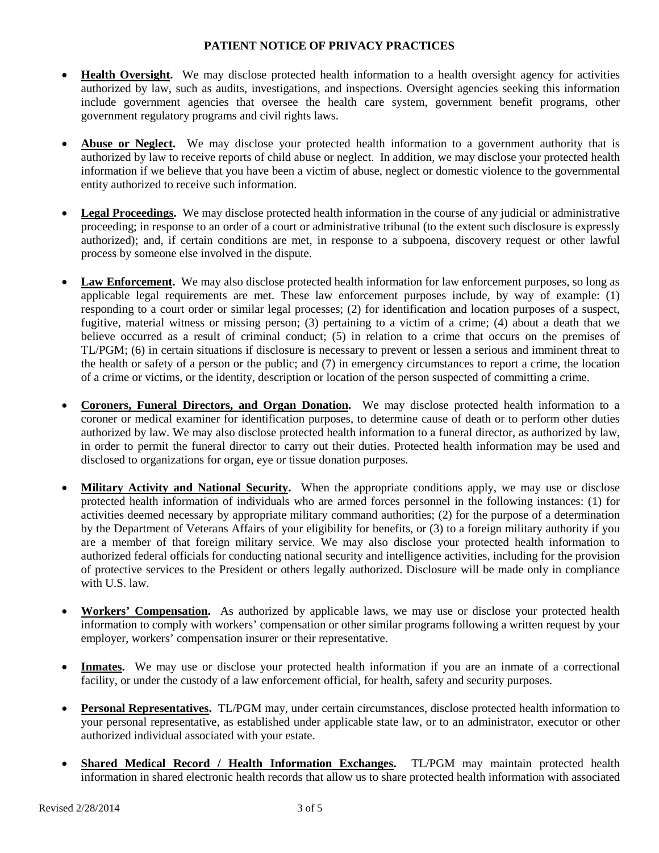- **Health Oversight.** We may disclose protected health information to a health oversight agency for activities authorized by law, such as audits, investigations, and inspections. Oversight agencies seeking this information include government agencies that oversee the health care system, government benefit programs, other government regulatory programs and civil rights laws.
- **Abuse or Neglect.** We may disclose your protected health information to a government authority that is authorized by law to receive reports of child abuse or neglect. In addition, we may disclose your protected health information if we believe that you have been a victim of abuse, neglect or domestic violence to the governmental entity authorized to receive such information.
- **Legal Proceedings.** We may disclose protected health information in the course of any judicial or administrative proceeding; in response to an order of a court or administrative tribunal (to the extent such disclosure is expressly authorized); and, if certain conditions are met, in response to a subpoena, discovery request or other lawful process by someone else involved in the dispute.
- Law Enforcement. We may also disclose protected health information for law enforcement purposes, so long as applicable legal requirements are met. These law enforcement purposes include, by way of example: (1) responding to a court order or similar legal processes; (2) for identification and location purposes of a suspect, fugitive, material witness or missing person; (3) pertaining to a victim of a crime; (4) about a death that we believe occurred as a result of criminal conduct; (5) in relation to a crime that occurs on the premises of TL/PGM; (6) in certain situations if disclosure is necessary to prevent or lessen a serious and imminent threat to the health or safety of a person or the public; and (7) in emergency circumstances to report a crime, the location of a crime or victims, or the identity, description or location of the person suspected of committing a crime.
- **Coroners, Funeral Directors, and Organ Donation.** We may disclose protected health information to a coroner or medical examiner for identification purposes, to determine cause of death or to perform other duties authorized by law. We may also disclose protected health information to a funeral director, as authorized by law, in order to permit the funeral director to carry out their duties. Protected health information may be used and disclosed to organizations for organ, eye or tissue donation purposes.
- **Military Activity and National Security.** When the appropriate conditions apply, we may use or disclose protected health information of individuals who are armed forces personnel in the following instances: (1) for activities deemed necessary by appropriate military command authorities; (2) for the purpose of a determination by the Department of Veterans Affairs of your eligibility for benefits, or (3) to a foreign military authority if you are a member of that foreign military service. We may also disclose your protected health information to authorized federal officials for conducting national security and intelligence activities, including for the provision of protective services to the President or others legally authorized. Disclosure will be made only in compliance with U.S. law.
- **Workers' Compensation.** As authorized by applicable laws, we may use or disclose your protected health information to comply with workers' compensation or other similar programs following a written request by your employer, workers' compensation insurer or their representative.
- **Inmates.** We may use or disclose your protected health information if you are an inmate of a correctional facility, or under the custody of a law enforcement official, for health, safety and security purposes.
- **Personal Representatives.** TL/PGM may, under certain circumstances, disclose protected health information to your personal representative, as established under applicable state law, or to an administrator, executor or other authorized individual associated with your estate.
- **Shared Medical Record / Health Information Exchanges.** TL/PGM may maintain protected health information in shared electronic health records that allow us to share protected health information with associated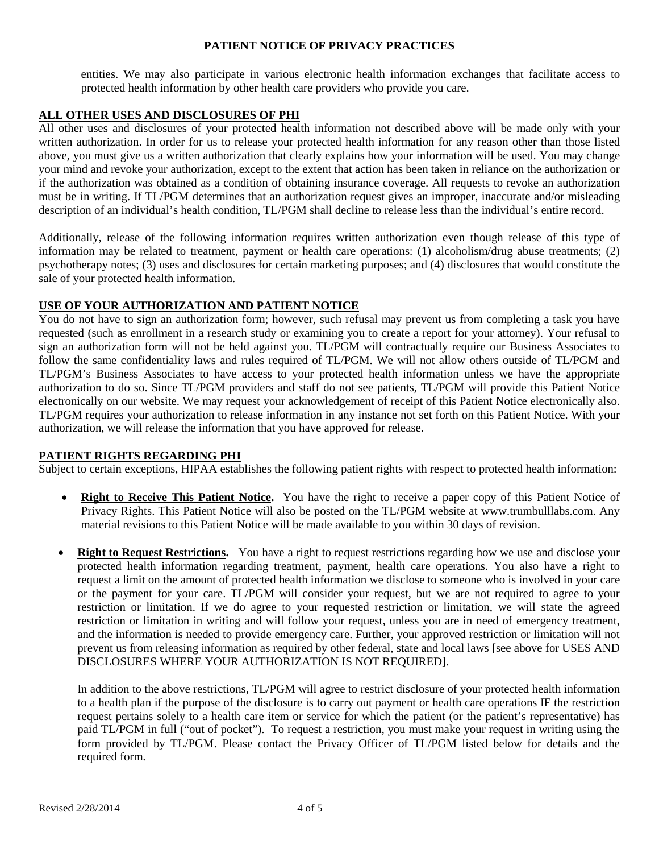entities. We may also participate in various electronic health information exchanges that facilitate access to protected health information by other health care providers who provide you care.

## **ALL OTHER USES AND DISCLOSURES OF PHI**

All other uses and disclosures of your protected health information not described above will be made only with your written authorization. In order for us to release your protected health information for any reason other than those listed above, you must give us a written authorization that clearly explains how your information will be used. You may change your mind and revoke your authorization, except to the extent that action has been taken in reliance on the authorization or if the authorization was obtained as a condition of obtaining insurance coverage. All requests to revoke an authorization must be in writing. If TL/PGM determines that an authorization request gives an improper, inaccurate and/or misleading description of an individual's health condition, TL/PGM shall decline to release less than the individual's entire record.

Additionally, release of the following information requires written authorization even though release of this type of information may be related to treatment, payment or health care operations: (1) alcoholism/drug abuse treatments; (2) psychotherapy notes; (3) uses and disclosures for certain marketing purposes; and (4) disclosures that would constitute the sale of your protected health information.

## **USE OF YOUR AUTHORIZATION AND PATIENT NOTICE**

You do not have to sign an authorization form; however, such refusal may prevent us from completing a task you have requested (such as enrollment in a research study or examining you to create a report for your attorney). Your refusal to sign an authorization form will not be held against you. TL/PGM will contractually require our Business Associates to follow the same confidentiality laws and rules required of TL/PGM. We will not allow others outside of TL/PGM and TL/PGM's Business Associates to have access to your protected health information unless we have the appropriate authorization to do so. Since TL/PGM providers and staff do not see patients, TL/PGM will provide this Patient Notice electronically on our website. We may request your acknowledgement of receipt of this Patient Notice electronically also. TL/PGM requires your authorization to release information in any instance not set forth on this Patient Notice. With your authorization, we will release the information that you have approved for release.

### **PATIENT RIGHTS REGARDING PHI**

Subject to certain exceptions, HIPAA establishes the following patient rights with respect to protected health information:

- **Right to Receive This Patient Notice.** You have the right to receive a paper copy of this Patient Notice of Privacy Rights. This Patient Notice will also be posted on the TL/PGM website at www.trumbulllabs.com. Any material revisions to this Patient Notice will be made available to you within 30 days of revision.
- **Right to Request Restrictions.** You have a right to request restrictions regarding how we use and disclose your protected health information regarding treatment, payment, health care operations. You also have a right to request a limit on the amount of protected health information we disclose to someone who is involved in your care or the payment for your care. TL/PGM will consider your request, but we are not required to agree to your restriction or limitation. If we do agree to your requested restriction or limitation, we will state the agreed restriction or limitation in writing and will follow your request, unless you are in need of emergency treatment, and the information is needed to provide emergency care. Further, your approved restriction or limitation will not prevent us from releasing information as required by other federal, state and local laws [see above for USES AND DISCLOSURES WHERE YOUR AUTHORIZATION IS NOT REQUIRED].

In addition to the above restrictions, TL/PGM will agree to restrict disclosure of your protected health information to a health plan if the purpose of the disclosure is to carry out payment or health care operations IF the restriction request pertains solely to a health care item or service for which the patient (or the patient's representative) has paid TL/PGM in full ("out of pocket"). To request a restriction, you must make your request in writing using the form provided by TL/PGM. Please contact the Privacy Officer of TL/PGM listed below for details and the required form.